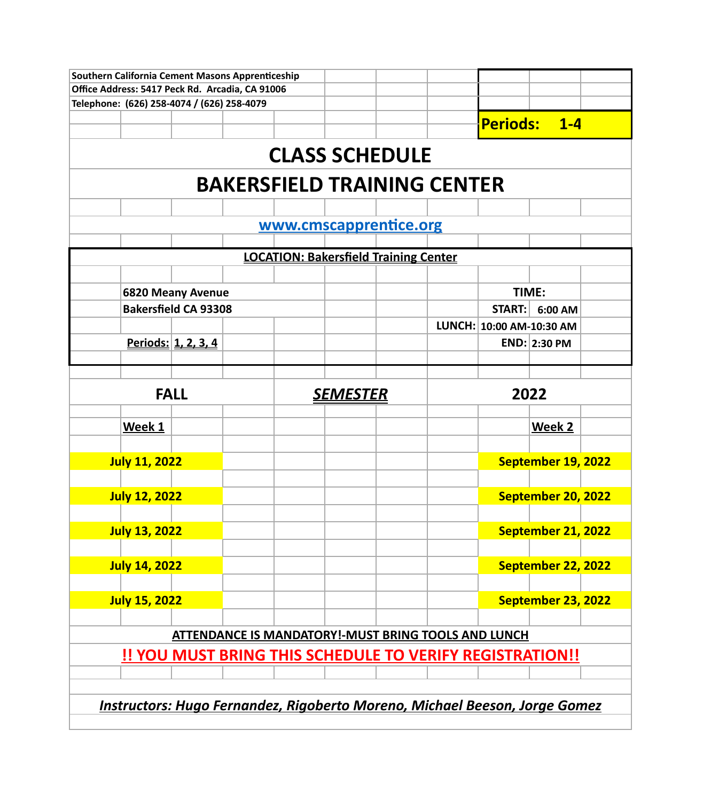|                                                                                   | Southern California Cement Masons Apprenticeship |  |  |                 |                                                                 |  |                          |                    |  |  |  |
|-----------------------------------------------------------------------------------|--------------------------------------------------|--|--|-----------------|-----------------------------------------------------------------|--|--------------------------|--------------------|--|--|--|
|                                                                                   | Office Address: 5417 Peck Rd. Arcadia, CA 91006  |  |  |                 |                                                                 |  |                          |                    |  |  |  |
|                                                                                   | Telephone: (626) 258-4074 / (626) 258-4079       |  |  |                 |                                                                 |  |                          |                    |  |  |  |
|                                                                                   |                                                  |  |  |                 |                                                                 |  |                          | Periods: 1-4       |  |  |  |
|                                                                                   |                                                  |  |  |                 |                                                                 |  |                          |                    |  |  |  |
| <b>CLASS SCHEDULE</b>                                                             |                                                  |  |  |                 |                                                                 |  |                          |                    |  |  |  |
| <b>BAKERSFIELD TRAINING CENTER</b>                                                |                                                  |  |  |                 |                                                                 |  |                          |                    |  |  |  |
|                                                                                   |                                                  |  |  |                 |                                                                 |  |                          |                    |  |  |  |
|                                                                                   |                                                  |  |  |                 | www.cmscapprentice.org                                          |  |                          |                    |  |  |  |
|                                                                                   |                                                  |  |  |                 |                                                                 |  |                          |                    |  |  |  |
|                                                                                   |                                                  |  |  |                 | <b>LOCATION: Bakersfield Training Center</b>                    |  |                          |                    |  |  |  |
|                                                                                   |                                                  |  |  |                 |                                                                 |  |                          |                    |  |  |  |
|                                                                                   | <b>6820 Meany Avenue</b>                         |  |  |                 |                                                                 |  |                          | TIME:              |  |  |  |
|                                                                                   | <b>Bakersfield CA 93308</b>                      |  |  |                 |                                                                 |  | <b>START:</b>            | 6:00 AM            |  |  |  |
|                                                                                   |                                                  |  |  |                 |                                                                 |  | LUNCH: 10:00 AM-10:30 AM |                    |  |  |  |
|                                                                                   | <u>Periods: 1, 2, 3, 4</u>                       |  |  |                 |                                                                 |  |                          | END: 2:30 PM       |  |  |  |
|                                                                                   |                                                  |  |  |                 |                                                                 |  |                          |                    |  |  |  |
|                                                                                   |                                                  |  |  |                 |                                                                 |  |                          |                    |  |  |  |
|                                                                                   | <b>FALL</b>                                      |  |  | <u>SEMESTER</u> |                                                                 |  |                          | 2022               |  |  |  |
|                                                                                   |                                                  |  |  |                 |                                                                 |  |                          |                    |  |  |  |
| Week 1                                                                            |                                                  |  |  |                 |                                                                 |  |                          | Week 2             |  |  |  |
|                                                                                   |                                                  |  |  |                 |                                                                 |  |                          |                    |  |  |  |
| <b>July 11, 2022</b>                                                              |                                                  |  |  |                 |                                                                 |  |                          | September 19, 2022 |  |  |  |
|                                                                                   |                                                  |  |  |                 |                                                                 |  |                          |                    |  |  |  |
|                                                                                   | <b>July 12, 2022</b>                             |  |  |                 |                                                                 |  |                          | September 20, 2022 |  |  |  |
| <b>July 13, 2022</b>                                                              |                                                  |  |  |                 |                                                                 |  |                          | September 21, 2022 |  |  |  |
|                                                                                   |                                                  |  |  |                 |                                                                 |  |                          |                    |  |  |  |
| <b>July 14, 2022</b>                                                              |                                                  |  |  |                 |                                                                 |  |                          | September 22, 2022 |  |  |  |
|                                                                                   |                                                  |  |  |                 |                                                                 |  |                          |                    |  |  |  |
| <b>July 15, 2022</b>                                                              |                                                  |  |  |                 |                                                                 |  |                          | September 23, 2022 |  |  |  |
|                                                                                   |                                                  |  |  |                 |                                                                 |  |                          |                    |  |  |  |
|                                                                                   |                                                  |  |  |                 | <b>ATTENDANCE IS MANDATORY!-MUST BRING TOOLS AND LUNCH</b>      |  |                          |                    |  |  |  |
|                                                                                   |                                                  |  |  |                 | <u>!! YOU MUST BRING THIS SCHEDULE TO VERIFY REGISTRATION!!</u> |  |                          |                    |  |  |  |
|                                                                                   |                                                  |  |  |                 |                                                                 |  |                          |                    |  |  |  |
|                                                                                   |                                                  |  |  |                 |                                                                 |  |                          |                    |  |  |  |
| <b>Instructors: Hugo Fernandez, Rigoberto Moreno, Michael Beeson, Jorge Gomez</b> |                                                  |  |  |                 |                                                                 |  |                          |                    |  |  |  |
|                                                                                   |                                                  |  |  |                 |                                                                 |  |                          |                    |  |  |  |